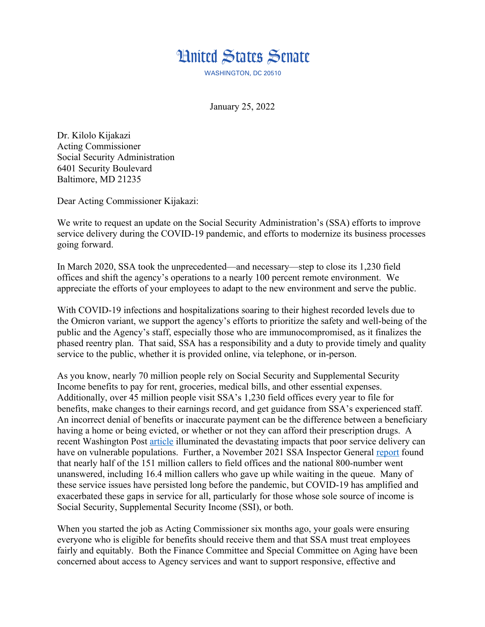

WASHINGTON, DC 20510

January 25, 2022

Dr. Kilolo Kijakazi Acting Commissioner Social Security Administration 6401 Security Boulevard Baltimore, MD 21235

Dear Acting Commissioner Kijakazi:

We write to request an update on the Social Security Administration's (SSA) efforts to improve service delivery during the COVID-19 pandemic, and efforts to modernize its business processes going forward.

In March 2020, SSA took the unprecedented—and necessary—step to close its 1,230 field offices and shift the agency's operations to a nearly 100 percent remote environment. We appreciate the efforts of your employees to adapt to the new environment and serve the public.

With COVID-19 infections and hospitalizations soaring to their highest recorded levels due to the Omicron variant, we support the agency's efforts to prioritize the safety and well-being of the public and the Agency's staff, especially those who are immunocompromised, as it finalizes the phased reentry plan. That said, SSA has a responsibility and a duty to provide timely and quality service to the public, whether it is provided online, via telephone, or in-person.

As you know, nearly 70 million people rely on Social Security and Supplemental Security Income benefits to pay for rent, groceries, medical bills, and other essential expenses. Additionally, over 45 million people visit SSA's 1,230 field offices every year to file for benefits, make changes to their earnings record, and get guidance from SSA's experienced staff. An incorrect denial of benefits or inaccurate payment can be the difference between a beneficiary having a home or being evicted, or whether or not they can afford their prescription drugs. A recent Washington Post [article](https://www.washingtonpost.com/politics/social-security-coronavirus/2021/12/18/0e3b9508-4bc1-11ec-b73b-a00d6e559a6e_story.html) illuminated the devastating impacts that poor service delivery can have on vulnerable populations. Further, a November 2021 SSA Inspector General [report](https://oig.ssa.gov/assets/uploads/A-05-20-50999.pdf) found that nearly half of the 151 million callers to field offices and the national 800-number went unanswered, including 16.4 million callers who gave up while waiting in the queue. Many of these service issues have persisted long before the pandemic, but COVID-19 has amplified and exacerbated these gaps in service for all, particularly for those whose sole source of income is Social Security, Supplemental Security Income (SSI), or both.

When you started the job as Acting Commissioner six months ago, your goals were ensuring everyone who is eligible for benefits should receive them and that SSA must treat employees fairly and equitably. Both the Finance Committee and Special Committee on Aging have been concerned about access to Agency services and want to support responsive, effective and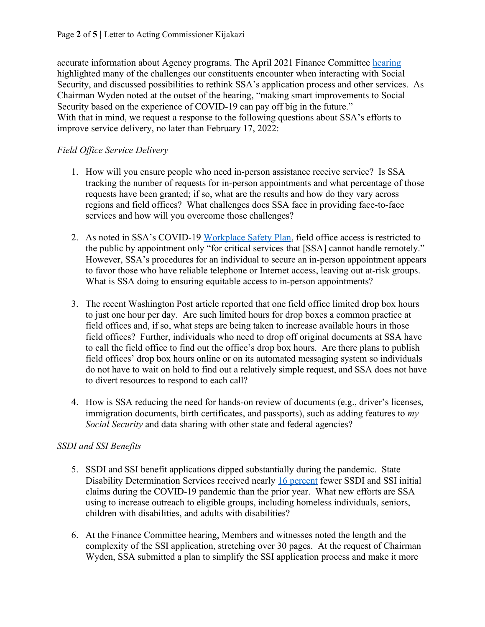accurate information about Agency programs. The April 2021 Finance Committee [hearing](https://www.finance.senate.gov/hearings/social-security-during-covid_how-the-pandemic-hampered-access-to-benefits-and-strategies-for-improving--service-delivery) highlighted many of the challenges our constituents encounter when interacting with Social Security, and discussed possibilities to rethink SSA's application process and other services. As Chairman Wyden noted at the outset of the hearing, "making smart improvements to Social Security based on the experience of COVID-19 can pay off big in the future." With that in mind, we request a response to the following questions about SSA's efforts to improve service delivery, no later than February 17, 2022:

## *Field Office Service Delivery*

- 1. How will you ensure people who need in-person assistance receive service? Is SSA tracking the number of requests for in-person appointments and what percentage of those requests have been granted; if so, what are the results and how do they vary across regions and field offices? What challenges does SSA face in providing face-to-face services and how will you overcome those challenges?
- 2. As noted in SSA's COVID-19 [Workplace Safety Plan,](https://www.ssa.gov/coronavirus/assets/materials/ssa-covid-19-workplace-safety-plan.pdf) field office access is restricted to the public by appointment only "for critical services that [SSA] cannot handle remotely." However, SSA's procedures for an individual to secure an in-person appointment appears to favor those who have reliable telephone or Internet access, leaving out at-risk groups. What is SSA doing to ensuring equitable access to in-person appointments?
- 3. The recent Washington Post article reported that one field office limited drop box hours to just one hour per day. Are such limited hours for drop boxes a common practice at field offices and, if so, what steps are being taken to increase available hours in those field offices? Further, individuals who need to drop off original documents at SSA have to call the field office to find out the office's drop box hours. Are there plans to publish field offices' drop box hours online or on its automated messaging system so individuals do not have to wait on hold to find out a relatively simple request, and SSA does not have to divert resources to respond to each call?
- 4. How is SSA reducing the need for hands-on review of documents (e.g., driver's licenses, immigration documents, birth certificates, and passports), such as adding features to *my Social Security* and data sharing with other state and federal agencies?

## *SSDI and SSI Benefits*

- 5. SSDI and SSI benefit applications dipped substantially during the pandemic. State Disability Determination Services received nearly [16 percent](https://oig.ssa.gov/assets/uploads/A-05-20-50999.pdf) fewer SSDI and SSI initial claims during the COVID-19 pandemic than the prior year. What new efforts are SSA using to increase outreach to eligible groups, including homeless individuals, seniors, children with disabilities, and adults with disabilities?
- 6. At the Finance Committee hearing, Members and witnesses noted the length and the complexity of the SSI application, stretching over 30 pages. At the request of Chairman Wyden, SSA submitted a plan to simplify the SSI application process and make it more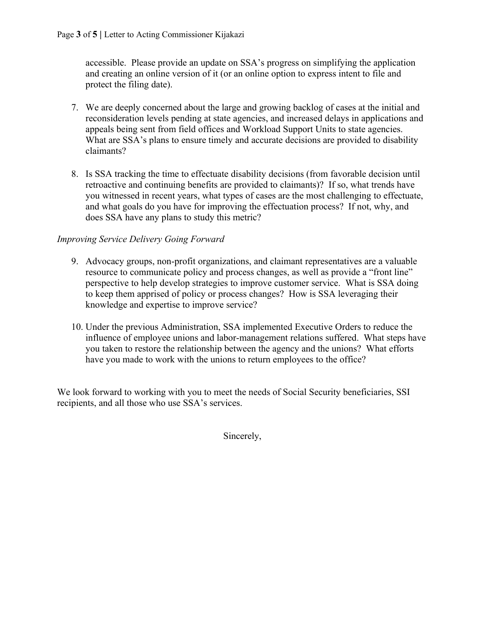accessible. Please provide an update on SSA's progress on simplifying the application and creating an online version of it (or an online option to express intent to file and protect the filing date).

- 7. We are deeply concerned about the large and growing backlog of cases at the initial and reconsideration levels pending at state agencies, and increased delays in applications and appeals being sent from field offices and Workload Support Units to state agencies. What are SSA's plans to ensure timely and accurate decisions are provided to disability claimants?
- 8. Is SSA tracking the time to effectuate disability decisions (from favorable decision until retroactive and continuing benefits are provided to claimants)? If so, what trends have you witnessed in recent years, what types of cases are the most challenging to effectuate, and what goals do you have for improving the effectuation process? If not, why, and does SSA have any plans to study this metric?

## *Improving Service Delivery Going Forward*

- 9. Advocacy groups, non-profit organizations, and claimant representatives are a valuable resource to communicate policy and process changes, as well as provide a "front line" perspective to help develop strategies to improve customer service. What is SSA doing to keep them apprised of policy or process changes? How is SSA leveraging their knowledge and expertise to improve service?
- 10. Under the previous Administration, SSA implemented Executive Orders to reduce the influence of employee unions and labor-management relations suffered. What steps have you taken to restore the relationship between the agency and the unions? What efforts have you made to work with the unions to return employees to the office?

We look forward to working with you to meet the needs of Social Security beneficiaries, SSI recipients, and all those who use SSA's services.

Sincerely,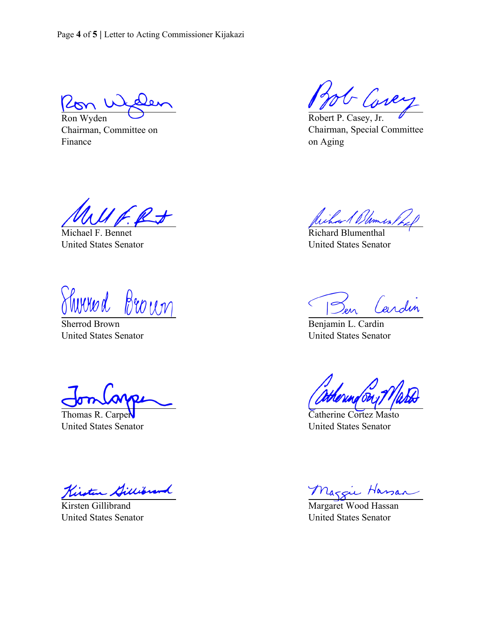Page **4** of **5 |** Letter to Acting Commissioner Kijakazi

Ron Wyden

Chairman, Committee on Finance

G Cover

Robert P. Casey, Jr. Chairman, Special Committee on Aging

Michael F. Bennet United States Senator

<u>Sherrod Brown</u>

United States Senator

Thomas R. Carper United States Senator

Kisten Gillibrand

Kirsten Gillibrand United States Senator

What Blumes / A

Richard Blumenthal United States Senator

Cardin  $\overline{S}$ 

Benjamin L. Cardin United States Senator

Catherine Cortez Masto United States Senator

Maggie Hassan

United States Senator